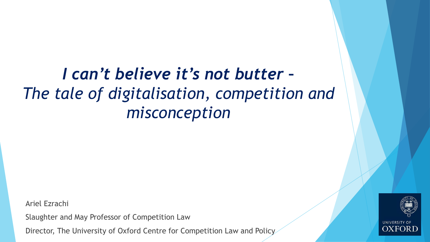# *I can't believe it's not butter – The tale of digitalisation, competition and misconception*

Ariel Ezrachi

Slaughter and May Professor of Competition Law

Director, The University of Oxford Centre for Competition Law and Policy

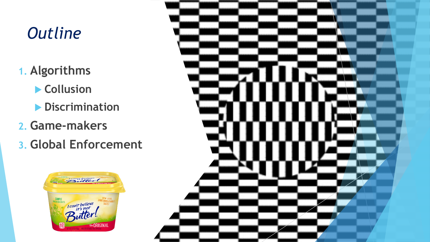# *Outline*

- **1. Algorithms**
	- **Collusion**
	- **Discrimination**
- **2. Game-makers**
- **3. Global Enforcement**



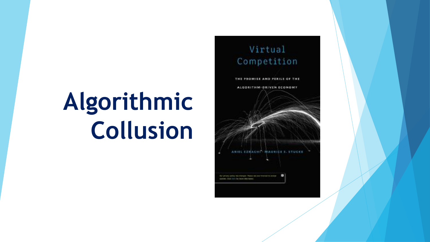# **Algorithmic Collusion**

## Virtual Competition

THE PROMISE AND PERILS OF THE ALGORITHM-DRIVEN ECONOMY

**MAURICE E. STUCKE** 

**EZICACHI** 

that privacy policy has changed. Presented one triminant to accept

payam. Only list to live were into track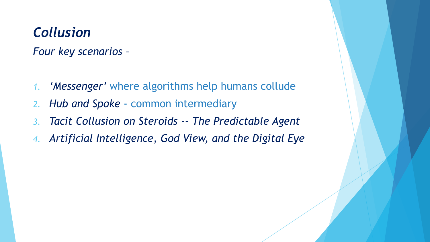## *Collusion*

*Four key scenarios –*

- *1. 'Messenger'* where algorithms help humans collude
- *2. Hub and Spoke*  common intermediary
- *3. Tacit Collusion on Steroids -- The Predictable Agent*
- *4. Artificial Intelligence, God View, and the Digital Eye*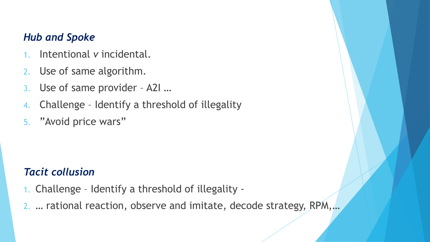## *Hub and Spoke*

- 1. Intentional *v* incidental.
- 2. Use of same algorithm.
- 3. Use of same provider A2I …
- 4. Challenge Identify a threshold of illegality
- 5. "Avoid price wars"

## *Tacit collusion*

- 1. Challenge Identify a threshold of illegality -
- 2. … rational reaction, observe and imitate, decode strategy, RPM,…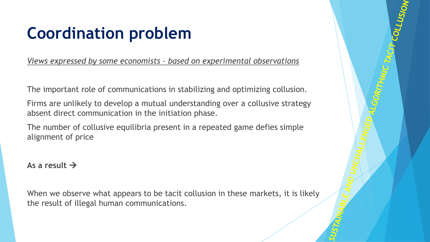# **Coordination problem**

*Views expressed by some economists – based on experimental observations*

The important role of communications in stabilizing and optimizing collusion.

Firms are unlikely to develop a mutual understanding over a collusive strategy absent direct communication in the initiation phase.

The number of collusive equilibria present in a repeated game defies simple alignment of price

**As a result** →

When we observe what appears to be tacit collusion in these markets, it is likely the result of illegal human communications.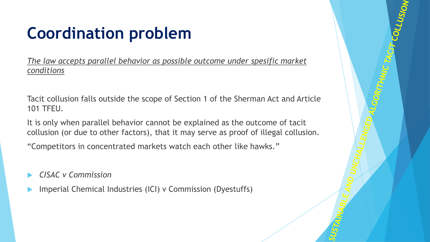# **Coordination problem**

*The law accepts parallel behavior as possible outcome under spesific market conditions*

Tacit collusion falls outside the scope of Section 1 of the Sherman Act and Article 101 TFEU.

It is only when parallel behavior cannot be explained as the outcome of tacit collusion (or due to other factors), that it may serve as proof of illegal collusion.

"Competitors in concentrated markets watch each other like hawks."

- *CISAC v Commission*
- Imperial Chemical Industries (ICI) v Commission (Dyestuffs)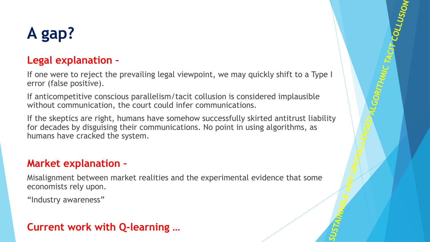# **A gap?**

## **Legal explanation –**

If one were to reject the prevailing legal viewpoint, we may quickly shift to a Type I error (false positive).

If anticompetitive conscious parallelism/tacit collusion is considered implausible without communication, the court could infer communications.

If the skeptics are right, humans have somehow successfully skirted antitrust liability for decades by disguising their communications. No point in using algorithms, as humans have cracked the system.

## **Market explanation –**

Misalignment between market realities and the experimental evidence that some economists rely upon.

"Industry awareness"

## **Current work with Q-learning …**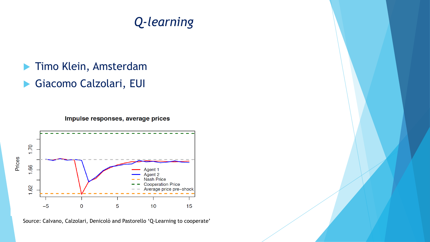## *Q-learning*

- Timo Klein, Amsterdam
- Giacomo Calzolari, EUI

Impulse responses, average prices



Source: Calvano, Calzolari, Denicolò and Pastorello 'Q-Learning to cooperate'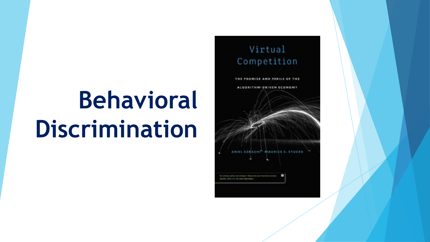# **Behavioral Discrimination**

## Virtual Competition

THE PROMISE AND PERILS OF THE ALGORITHM-DRIVEN ECONOMY

that privacy policy has changed. Presse out concretes and in arrange

payment. Club list to be innered what their

**MAURICE E. STUCK**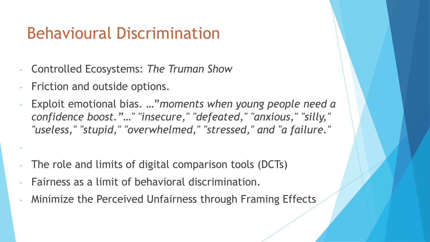# Behavioural Discrimination

- Controlled Ecosystems: *The Truman Show*
- Friction and outside options.

-

- Exploit emotional bias. …"*moments when young people need a confidence boost."…" "insecure," "defeated," "anxious," "silly," "useless," "stupid," "overwhelmed," "stressed," and "a failure."*
- The role and limits of digital comparison tools (DCTs)
- Fairness as a limit of behavioral discrimination.
- Minimize the Perceived Unfairness through Framing Effects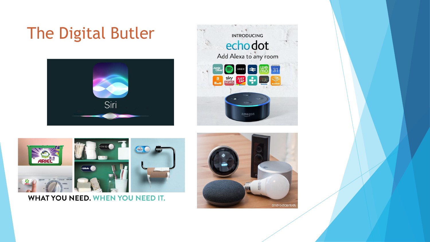# The Digital Butler









#### WHAT YOU NEED. WHEN YOU NEED IT.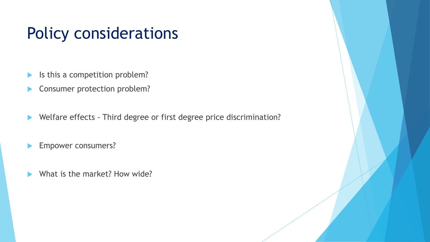# Policy considerations

- Is this a competition problem?
- **Consumer protection problem?**
- ▶ Welfare effects Third degree or first degree price discrimination?
- Empower consumers?
- What is the market? How wide?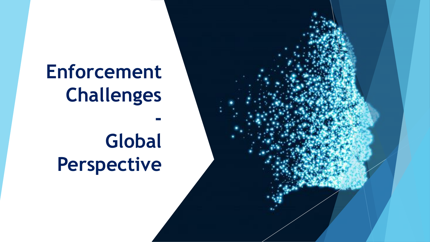# **Enforcement Challenges**

# **Global Perspective**

**-**

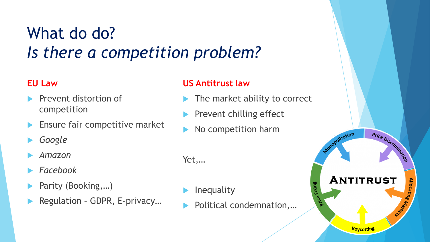# What do do? *Is there a competition problem?*

#### **EU Law**

- Prevent distortion of competition
- Ensure fair competitive market
- *Google*
- *Amazon*
- *Facebook*
- Parity (Booking,…)
- Regulation GDPR, E-privacy…

### **US Antitrust law**

The market ability to correct

Price Discrimination

**Alloca** 

Monopolization

Fixing

**ANTITRUST** 

**Boycotting** 

- Prevent chilling effect
- No competition harm

Yet,…

- Inequality
- Political condemnation,…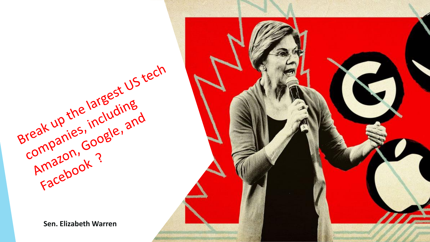